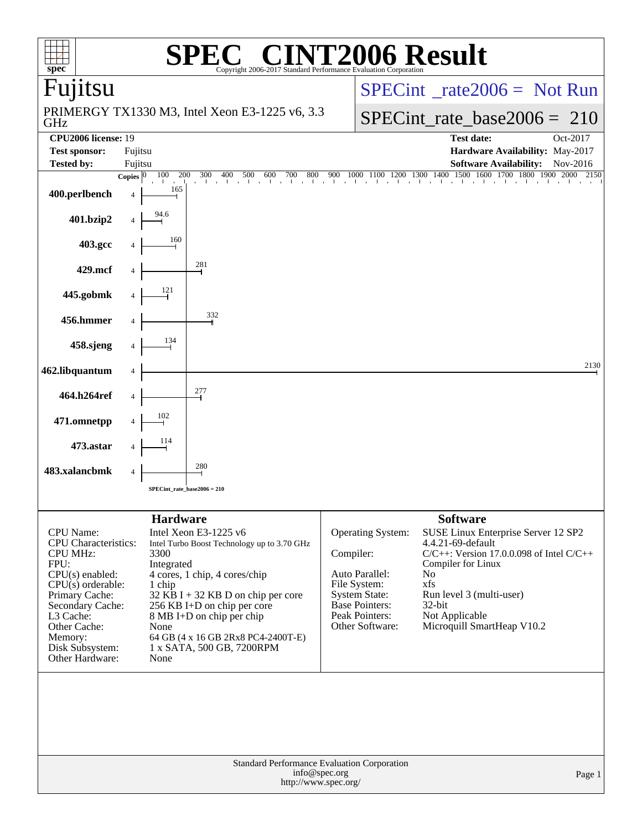| $spec^*$                              |         |                               | $\bigcap$<br>Copyright 2006-2017 Standard Performance Evaluation Corporation                                                                                                       |                                       | <b>INT2006 Result</b>                   |                    |                                               |  |  |  |
|---------------------------------------|---------|-------------------------------|------------------------------------------------------------------------------------------------------------------------------------------------------------------------------------|---------------------------------------|-----------------------------------------|--------------------|-----------------------------------------------|--|--|--|
| Fujitsu                               |         |                               |                                                                                                                                                                                    |                                       | $SPECint^{\circ}$ rate $2006 =$ Not Run |                    |                                               |  |  |  |
| GHz                                   |         |                               | PRIMERGY TX1330 M3, Intel Xeon E3-1225 v6, 3.3                                                                                                                                     |                                       |                                         |                    | $SPECint$ rate_base2006 = 210                 |  |  |  |
| <b>CPU2006 license: 19</b>            |         |                               |                                                                                                                                                                                    |                                       |                                         |                    | <b>Test date:</b><br>Oct-2017                 |  |  |  |
| <b>Test sponsor:</b>                  | Fujitsu |                               |                                                                                                                                                                                    |                                       |                                         |                    | Hardware Availability: May-2017               |  |  |  |
| <b>Tested by:</b>                     | Fujitsu |                               |                                                                                                                                                                                    |                                       |                                         |                    | <b>Software Availability:</b><br>Nov-2016     |  |  |  |
|                                       |         |                               | <b>Copies</b> $\begin{bmatrix} 0 & 100 & 200 & 300 & 400 & 500 & 600 & 700 & 800 & 900 & 1000 & 1100 & 1200 & 1300 & 1400 & 1500 & 1600 & 1700 & 1800 & 1900 & 2000 \end{bmatrix}$ |                                       |                                         |                    | 2150                                          |  |  |  |
| 400.perlbench                         |         | 165                           |                                                                                                                                                                                    |                                       |                                         |                    |                                               |  |  |  |
| 401.bzip2                             |         |                               |                                                                                                                                                                                    |                                       |                                         |                    |                                               |  |  |  |
| 403.gcc                               |         | 160                           |                                                                                                                                                                                    |                                       |                                         |                    |                                               |  |  |  |
| 429.mcf                               |         |                               | 281                                                                                                                                                                                |                                       |                                         |                    |                                               |  |  |  |
| 445.gobmk                             |         | 121                           |                                                                                                                                                                                    |                                       |                                         |                    |                                               |  |  |  |
| 456.hmmer                             |         |                               | 332                                                                                                                                                                                |                                       |                                         |                    |                                               |  |  |  |
| 458.sjeng                             |         | 134                           |                                                                                                                                                                                    |                                       |                                         |                    | 2130                                          |  |  |  |
| 462.libquantum                        |         |                               | 277                                                                                                                                                                                |                                       |                                         |                    |                                               |  |  |  |
| 464.h264ref<br>471.omnetpp            |         |                               |                                                                                                                                                                                    |                                       |                                         |                    |                                               |  |  |  |
| 473.astar                             |         |                               |                                                                                                                                                                                    |                                       |                                         |                    |                                               |  |  |  |
| 483.xalancbmk                         |         |                               | 280                                                                                                                                                                                |                                       |                                         |                    |                                               |  |  |  |
|                                       |         | $SPECint_rate_base2006 = 210$ |                                                                                                                                                                                    |                                       |                                         |                    |                                               |  |  |  |
|                                       |         | <b>Hardware</b>               |                                                                                                                                                                                    |                                       |                                         | <b>Software</b>    |                                               |  |  |  |
| <b>CPU</b> Name:                      |         |                               | Intel Xeon E3-1225 v6                                                                                                                                                              |                                       |                                         |                    |                                               |  |  |  |
| <b>CPU</b> Characteristics:           |         |                               | Intel Turbo Boost Technology up to 3.70 GHz                                                                                                                                        |                                       | Operating System:                       | 4.4.21-69-default  | SUSE Linux Enterprise Server 12 SP2           |  |  |  |
| <b>CPU MHz:</b>                       |         | 3300                          |                                                                                                                                                                                    | Compiler:                             |                                         |                    | $C/C++$ : Version 17.0.0.098 of Intel $C/C++$ |  |  |  |
| FPU:                                  |         | Integrated                    |                                                                                                                                                                                    |                                       |                                         | Compiler for Linux |                                               |  |  |  |
| $CPU(s)$ enabled:                     |         |                               | 4 cores, 1 chip, 4 cores/chip                                                                                                                                                      |                                       | Auto Parallel:                          | No                 |                                               |  |  |  |
| $CPU(s)$ orderable:<br>Primary Cache: |         | 1 chip                        | $32$ KB I + 32 KB D on chip per core                                                                                                                                               | File System:                          | <b>System State:</b>                    | xfs                | Run level 3 (multi-user)                      |  |  |  |
| Secondary Cache:                      |         |                               | 256 KB I+D on chip per core                                                                                                                                                        |                                       | Base Pointers:                          | 32-bit             |                                               |  |  |  |
| L3 Cache:                             |         |                               | 8 MB I+D on chip per chip                                                                                                                                                          |                                       | Peak Pointers:                          | Not Applicable     |                                               |  |  |  |
| Other Cache:                          |         | None                          |                                                                                                                                                                                    |                                       | Other Software:                         |                    | Microquill SmartHeap V10.2                    |  |  |  |
| Memory:                               |         |                               | 64 GB (4 x 16 GB 2Rx8 PC4-2400T-E)                                                                                                                                                 |                                       |                                         |                    |                                               |  |  |  |
| Disk Subsystem:<br>Other Hardware:    |         | None                          | 1 x SATA, 500 GB, 7200RPM                                                                                                                                                          |                                       |                                         |                    |                                               |  |  |  |
|                                       |         |                               |                                                                                                                                                                                    |                                       |                                         |                    |                                               |  |  |  |
|                                       |         |                               | Standard Performance Evaluation Corporation                                                                                                                                        | info@spec.org<br>http://www.spec.org/ |                                         |                    | Page 1                                        |  |  |  |
|                                       |         |                               |                                                                                                                                                                                    |                                       |                                         |                    |                                               |  |  |  |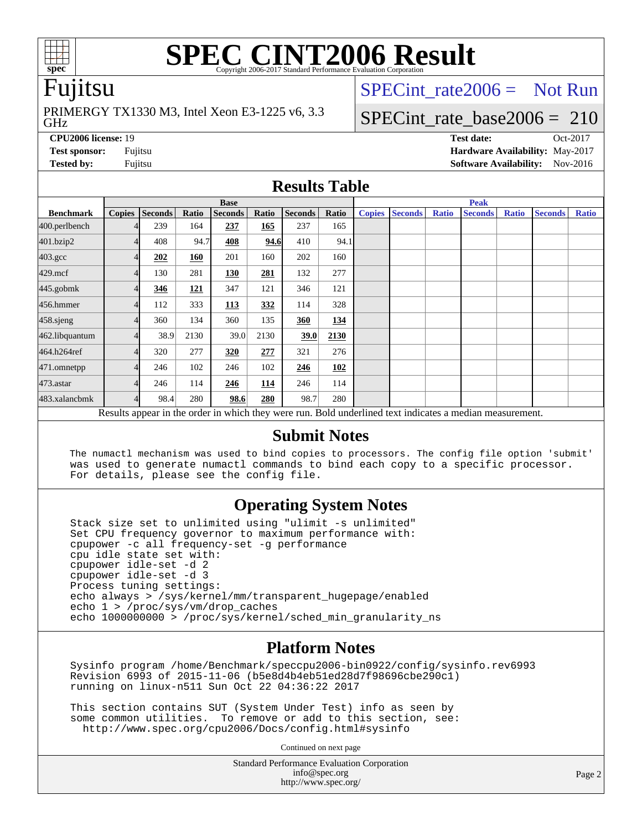

# **[SPEC CINT2006 Result](http://www.spec.org/auto/cpu2006/Docs/result-fields.html#SPECCINT2006Result)**

# Fujitsu

GHz PRIMERGY TX1330 M3, Intel Xeon E3-1225 v6, 3.3 SPECint rate $2006 =$  Not Run

# [SPECint\\_rate\\_base2006 =](http://www.spec.org/auto/cpu2006/Docs/result-fields.html#SPECintratebase2006) 210

**[CPU2006 license:](http://www.spec.org/auto/cpu2006/Docs/result-fields.html#CPU2006license)** 19 **[Test date:](http://www.spec.org/auto/cpu2006/Docs/result-fields.html#Testdate)** Oct-2017 **[Test sponsor:](http://www.spec.org/auto/cpu2006/Docs/result-fields.html#Testsponsor)** Fujitsu **[Hardware Availability:](http://www.spec.org/auto/cpu2006/Docs/result-fields.html#HardwareAvailability)** May-2017 **[Tested by:](http://www.spec.org/auto/cpu2006/Docs/result-fields.html#Testedby)** Fujitsu **Fujitsu <b>[Software Availability:](http://www.spec.org/auto/cpu2006/Docs/result-fields.html#SoftwareAvailability)** Nov-2016

### **[Results Table](http://www.spec.org/auto/cpu2006/Docs/result-fields.html#ResultsTable)**

|                    | <b>Base</b>                                                                                              |                |            |                |       |         |       |               | <b>Peak</b>    |              |                |              |                |              |  |
|--------------------|----------------------------------------------------------------------------------------------------------|----------------|------------|----------------|-------|---------|-------|---------------|----------------|--------------|----------------|--------------|----------------|--------------|--|
| <b>Benchmark</b>   | <b>Copies</b>                                                                                            | <b>Seconds</b> | Ratio      | <b>Seconds</b> | Ratio | Seconds | Ratio | <b>Copies</b> | <b>Seconds</b> | <b>Ratio</b> | <b>Seconds</b> | <b>Ratio</b> | <b>Seconds</b> | <b>Ratio</b> |  |
| 400.perlbench      |                                                                                                          | 239            | 164        | 237            | 165   | 237     | 165   |               |                |              |                |              |                |              |  |
| 401.bzip2          |                                                                                                          | 408            | 94.7       | 408            | 94.6  | 410     | 94.1  |               |                |              |                |              |                |              |  |
| $403.\mathrm{gcc}$ |                                                                                                          | 202            | 160        | 201            | 160   | 202     | 160   |               |                |              |                |              |                |              |  |
| $429$ .mcf         | 4                                                                                                        | 130            | 281        | 130            | 281   | 132     | 277   |               |                |              |                |              |                |              |  |
| $445$ .gobm $k$    |                                                                                                          | 346            | <b>121</b> | 347            | 121   | 346     | 121   |               |                |              |                |              |                |              |  |
| 456.hmmer          |                                                                                                          | 112            | 333        | <b>113</b>     | 332   | 114     | 328   |               |                |              |                |              |                |              |  |
| $458$ .sjeng       |                                                                                                          | 360            | 134        | 360            | 135   | 360     | 134   |               |                |              |                |              |                |              |  |
| 462.libquantum     |                                                                                                          | 38.9           | 2130       | 39.0           | 2130  | 39.0    | 2130  |               |                |              |                |              |                |              |  |
| 464.h264ref        |                                                                                                          | 320            | 277        | 320            | 277   | 321     | 276   |               |                |              |                |              |                |              |  |
| 471.omnetpp        | 4                                                                                                        | 246            | 102        | 246            | 102   | 246     | 102   |               |                |              |                |              |                |              |  |
| 473.astar          | 4                                                                                                        | 246            | 114        | 246            | 114   | 246     | 114   |               |                |              |                |              |                |              |  |
| 483.xalancbmk      |                                                                                                          | 98.4           | 280        | 98.6           | 280   | 98.7    | 280   |               |                |              |                |              |                |              |  |
|                    | Results appear in the order in which they were run. Bold underlined text indicates a median measurement. |                |            |                |       |         |       |               |                |              |                |              |                |              |  |

### **[Submit Notes](http://www.spec.org/auto/cpu2006/Docs/result-fields.html#SubmitNotes)**

 The numactl mechanism was used to bind copies to processors. The config file option 'submit' was used to generate numactl commands to bind each copy to a specific processor. For details, please see the config file.

## **[Operating System Notes](http://www.spec.org/auto/cpu2006/Docs/result-fields.html#OperatingSystemNotes)**

 Stack size set to unlimited using "ulimit -s unlimited" Set CPU frequency governor to maximum performance with: cpupower -c all frequency-set -g performance cpu idle state set with: cpupower idle-set -d 2 cpupower idle-set -d 3 Process tuning settings: echo always > /sys/kernel/mm/transparent\_hugepage/enabled echo 1 > /proc/sys/vm/drop\_caches echo 1000000000 > /proc/sys/kernel/sched\_min\_granularity\_ns

### **[Platform Notes](http://www.spec.org/auto/cpu2006/Docs/result-fields.html#PlatformNotes)**

 Sysinfo program /home/Benchmark/speccpu2006-bin0922/config/sysinfo.rev6993 Revision 6993 of 2015-11-06 (b5e8d4b4eb51ed28d7f98696cbe290c1) running on linux-n511 Sun Oct 22 04:36:22 2017

 This section contains SUT (System Under Test) info as seen by some common utilities. To remove or add to this section, see: <http://www.spec.org/cpu2006/Docs/config.html#sysinfo>

Continued on next page

Standard Performance Evaluation Corporation [info@spec.org](mailto:info@spec.org) <http://www.spec.org/>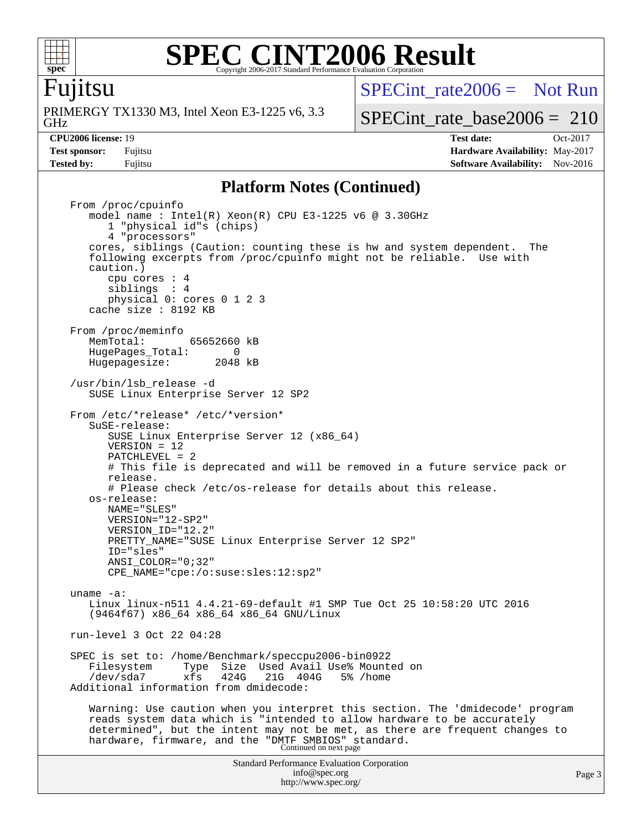

### **[SPEC CINT2006 Result](http://www.spec.org/auto/cpu2006/Docs/result-fields.html#SPECCINT2006Result)** Copyright 2006-2017 Standard Performance Evaluation Corporation

# Fujitsu

GHz PRIMERGY TX1330 M3, Intel Xeon E3-1225 v6, 3.3 [SPECint\\_rate2006 =](http://www.spec.org/auto/cpu2006/Docs/result-fields.html#SPECintrate2006) Not Run

[SPECint\\_rate\\_base2006 =](http://www.spec.org/auto/cpu2006/Docs/result-fields.html#SPECintratebase2006) 210

**[CPU2006 license:](http://www.spec.org/auto/cpu2006/Docs/result-fields.html#CPU2006license)** 19 **[Test date:](http://www.spec.org/auto/cpu2006/Docs/result-fields.html#Testdate)** Oct-2017 **[Test sponsor:](http://www.spec.org/auto/cpu2006/Docs/result-fields.html#Testsponsor)** Fujitsu **[Hardware Availability:](http://www.spec.org/auto/cpu2006/Docs/result-fields.html#HardwareAvailability)** May-2017 **[Tested by:](http://www.spec.org/auto/cpu2006/Docs/result-fields.html#Testedby)** Fujitsu **[Software Availability:](http://www.spec.org/auto/cpu2006/Docs/result-fields.html#SoftwareAvailability)** Nov-2016

### **[Platform Notes \(Continued\)](http://www.spec.org/auto/cpu2006/Docs/result-fields.html#PlatformNotes)**

Standard Performance Evaluation Corporation [info@spec.org](mailto:info@spec.org) <http://www.spec.org/> From /proc/cpuinfo model name:  $Intel(R)$  Xeon $(R)$  CPU E3-1225 v6 @ 3.30GHz 1 "physical id"s (chips) 4 "processors" cores, siblings (Caution: counting these is hw and system dependent. The following excerpts from /proc/cpuinfo might not be reliable. Use with caution.) cpu cores : 4 siblings : 4 physical 0: cores 0 1 2 3 cache size : 8192 KB From /proc/meminfo MemTotal: 65652660 kB HugePages\_Total: 0<br>Hugepagesize: 2048 kB Hugepagesize: /usr/bin/lsb\_release -d SUSE Linux Enterprise Server 12 SP2 From /etc/\*release\* /etc/\*version\* SuSE-release: SUSE Linux Enterprise Server 12 (x86\_64) VERSION = 12 PATCHLEVEL = 2 # This file is deprecated and will be removed in a future service pack or release. # Please check /etc/os-release for details about this release. os-release: NAME="SLES" VERSION="12-SP2" VERSION\_ID="12.2" PRETTY\_NAME="SUSE Linux Enterprise Server 12 SP2" ID="sles" ANSI\_COLOR="0;32" CPE\_NAME="cpe:/o:suse:sles:12:sp2" uname -a: Linux linux-n511 4.4.21-69-default #1 SMP Tue Oct 25 10:58:20 UTC 2016 (9464f67) x86\_64 x86\_64 x86\_64 GNU/Linux run-level 3 Oct 22 04:28 SPEC is set to: /home/Benchmark/speccpu2006-bin0922 Filesystem Type Size Used Avail Use% Mounted on /dev/sda7 xfs 424G 21G 404G 5% /home Additional information from dmidecode: Warning: Use caution when you interpret this section. The 'dmidecode' program reads system data which is "intended to allow hardware to be accurately determined", but the intent may not be met, as there are frequent changes to hardware, firmware, and the "DMTF SMBIOS" standard.<br>Continued on next page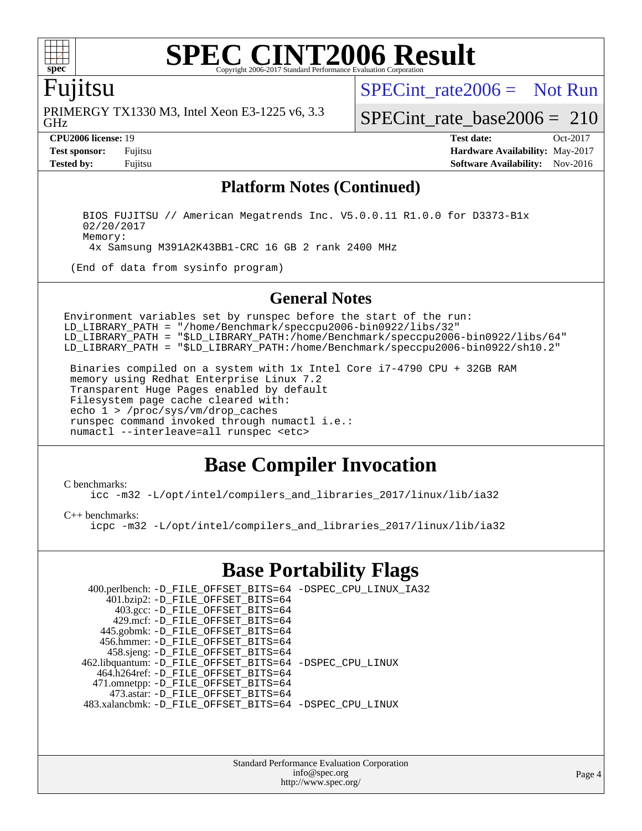

### **[SPEC CINT2006 Result](http://www.spec.org/auto/cpu2006/Docs/result-fields.html#SPECCINT2006Result)** Copyright 2006-2017 Standard Performance Evaluation C

## Fujitsu

GHz PRIMERGY TX1330 M3, Intel Xeon E3-1225 v6, 3.3 [SPECint\\_rate2006 =](http://www.spec.org/auto/cpu2006/Docs/result-fields.html#SPECintrate2006) Not Run

[SPECint\\_rate\\_base2006 =](http://www.spec.org/auto/cpu2006/Docs/result-fields.html#SPECintratebase2006) 210

**[CPU2006 license:](http://www.spec.org/auto/cpu2006/Docs/result-fields.html#CPU2006license)** 19 **[Test date:](http://www.spec.org/auto/cpu2006/Docs/result-fields.html#Testdate)** Oct-2017 **[Test sponsor:](http://www.spec.org/auto/cpu2006/Docs/result-fields.html#Testsponsor)** Fujitsu **[Hardware Availability:](http://www.spec.org/auto/cpu2006/Docs/result-fields.html#HardwareAvailability)** May-2017 **[Tested by:](http://www.spec.org/auto/cpu2006/Docs/result-fields.html#Testedby)** Fujitsu **Fujitsu <b>[Software Availability:](http://www.spec.org/auto/cpu2006/Docs/result-fields.html#SoftwareAvailability)** Nov-2016

### **[Platform Notes \(Continued\)](http://www.spec.org/auto/cpu2006/Docs/result-fields.html#PlatformNotes)**

 BIOS FUJITSU // American Megatrends Inc. V5.0.0.11 R1.0.0 for D3373-B1x 02/20/2017 Memory: 4x Samsung M391A2K43BB1-CRC 16 GB 2 rank 2400 MHz

(End of data from sysinfo program)

### **[General Notes](http://www.spec.org/auto/cpu2006/Docs/result-fields.html#GeneralNotes)**

Environment variables set by runspec before the start of the run: LD\_LIBRARY\_PATH = "/home/Benchmark/speccpu2006-bin0922/libs/32" LD\_LIBRARY\_PATH = "\$LD\_LIBRARY\_PATH:/home/Benchmark/speccpu2006-bin0922/libs/64" LD\_LIBRARY\_PATH = "\$LD\_LIBRARY\_PATH:/home/Benchmark/speccpu2006-bin0922/sh10.2"

 Binaries compiled on a system with 1x Intel Core i7-4790 CPU + 32GB RAM memory using Redhat Enterprise Linux 7.2 Transparent Huge Pages enabled by default Filesystem page cache cleared with: echo 1 > /proc/sys/vm/drop\_caches runspec command invoked through numactl i.e.: numactl --interleave=all runspec <etc>

# **[Base Compiler Invocation](http://www.spec.org/auto/cpu2006/Docs/result-fields.html#BaseCompilerInvocation)**

### [C benchmarks](http://www.spec.org/auto/cpu2006/Docs/result-fields.html#Cbenchmarks):

[icc -m32 -L/opt/intel/compilers\\_and\\_libraries\\_2017/linux/lib/ia32](http://www.spec.org/cpu2006/results/res2017q4/cpu2006-20171030-50360.flags.html#user_CCbase_intel_icc_c29f3ff5a7ed067b11e4ec10a03f03ae)

[C++ benchmarks:](http://www.spec.org/auto/cpu2006/Docs/result-fields.html#CXXbenchmarks)

[icpc -m32 -L/opt/intel/compilers\\_and\\_libraries\\_2017/linux/lib/ia32](http://www.spec.org/cpu2006/results/res2017q4/cpu2006-20171030-50360.flags.html#user_CXXbase_intel_icpc_8c35c7808b62dab9ae41a1aa06361b6b)

# **[Base Portability Flags](http://www.spec.org/auto/cpu2006/Docs/result-fields.html#BasePortabilityFlags)**

| 400.perlbench: -D_FILE_OFFSET_BITS=64 -DSPEC_CPU_LINUX_IA32 |
|-------------------------------------------------------------|
|                                                             |
|                                                             |
|                                                             |
|                                                             |
|                                                             |
|                                                             |
|                                                             |
| 462.libquantum: -D_FILE_OFFSET_BITS=64 -DSPEC_CPU_LINUX     |
|                                                             |
|                                                             |
|                                                             |
| 483.xalancbmk: -D FILE OFFSET BITS=64 -DSPEC CPU LINUX      |
|                                                             |

Standard Performance Evaluation Corporation [info@spec.org](mailto:info@spec.org) <http://www.spec.org/>